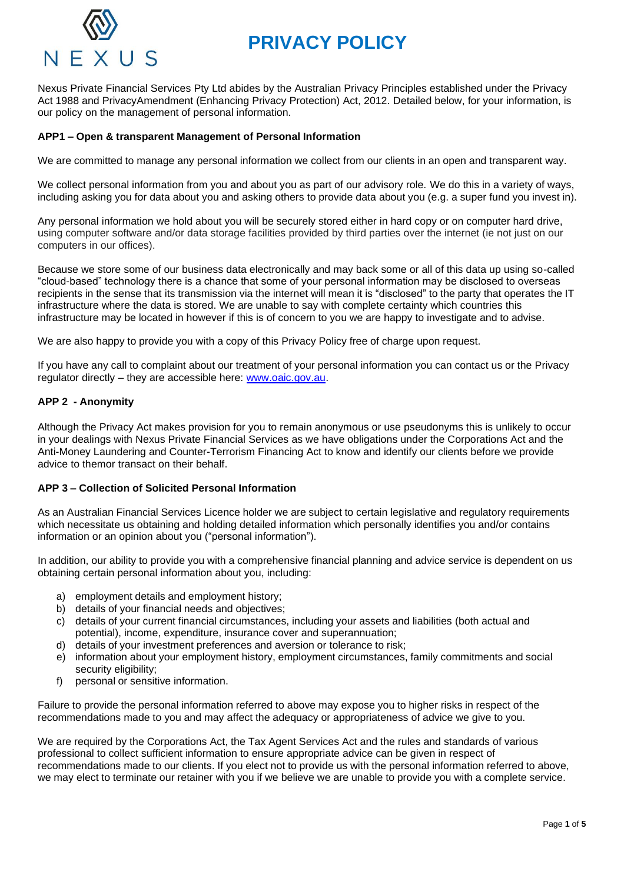# **PRIVACY POLICY**



Nexus Private Financial Services Pty Ltd abides by the Australian Privacy Principles established under the Privacy Act 1988 and PrivacyAmendment (Enhancing Privacy Protection) Act, 2012. Detailed below, for your information, is our policy on the management of personal information.

### **APP1 – Open & transparent Management of Personal Information**

We are committed to manage any personal information we collect from our clients in an open and transparent way.

We collect personal information from you and about you as part of our advisory role. We do this in a variety of ways, including asking you for data about you and asking others to provide data about you (e.g. a super fund you invest in).

Any personal information we hold about you will be securely stored either in hard copy or on computer hard drive, using computer software and/or data storage facilities provided by third parties over the internet (ie not just on our computers in our offices).

Because we store some of our business data electronically and may back some or all of this data up using so-called "cloud-based" technology there is a chance that some of your personal information may be disclosed to overseas recipients in the sense that its transmission via the internet will mean it is "disclosed" to the party that operates the IT infrastructure where the data is stored. We are unable to say with complete certainty which countries this infrastructure may be located in however if this is of concern to you we are happy to investigate and to advise.

We are also happy to provide you with a copy of this Privacy Policy free of charge upon request.

If you have any call to complaint about our treatment of your personal information you can contact us or the Privacy regulator directly – they are accessible here: [www.oaic.gov.au.](http://www.oaic.gov.au/)

### **APP 2 - Anonymity**

Although the Privacy Act makes provision for you to remain anonymous or use pseudonyms this is unlikely to occur in your dealings with Nexus Private Financial Services as we have obligations under the Corporations Act and the Anti-Money Laundering and Counter-Terrorism Financing Act to know and identify our clients before we provide advice to themor transact on their behalf.

### **APP 3 – Collection of Solicited Personal Information**

As an Australian Financial Services Licence holder we are subject to certain legislative and regulatory requirements which necessitate us obtaining and holding detailed information which personally identifies you and/or contains information or an opinion about you ("personal information").

In addition, our ability to provide you with a comprehensive financial planning and advice service is dependent on us obtaining certain personal information about you, including:

- a) employment details and employment history;
- b) details of your financial needs and objectives;
- c) details of your current financial circumstances, including your assets and liabilities (both actual and potential), income, expenditure, insurance cover and superannuation;
- d) details of your investment preferences and aversion or tolerance to risk;
- e) information about your employment history, employment circumstances, family commitments and social security eligibility;
- f) personal or sensitive information.

Failure to provide the personal information referred to above may expose you to higher risks in respect of the recommendations made to you and may affect the adequacy or appropriateness of advice we give to you.

We are required by the Corporations Act, the Tax Agent Services Act and the rules and standards of various professional to collect sufficient information to ensure appropriate advice can be given in respect of recommendations made to our clients. If you elect not to provide us with the personal information referred to above, we may elect to terminate our retainer with you if we believe we are unable to provide you with a complete service.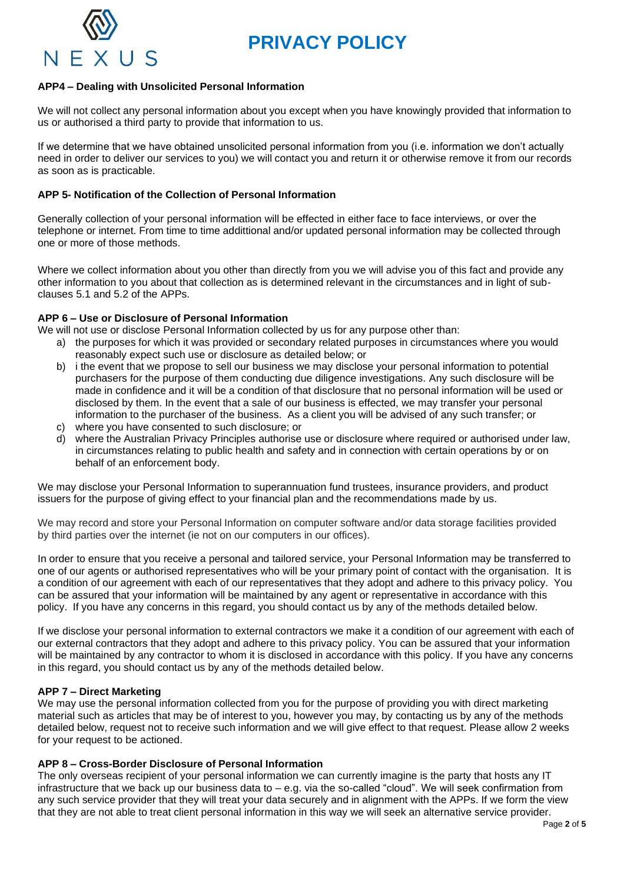



# **APP4 – Dealing with Unsolicited Personal Information**

We will not collect any personal information about you except when you have knowingly provided that information to us or authorised a third party to provide that information to us.

If we determine that we have obtained unsolicited personal information from you (i.e. information we don't actually need in order to deliver our services to you) we will contact you and return it or otherwise remove it from our records as soon as is practicable.

### **APP 5- Notification of the Collection of Personal Information**

Generally collection of your personal information will be effected in either face to face interviews, or over the telephone or internet. From time to time addittional and/or updated personal information may be collected through one or more of those methods.

Where we collect information about you other than directly from you we will advise you of this fact and provide any other information to you about that collection as is determined relevant in the circumstances and in light of subclauses 5.1 and 5.2 of the APPs.

### **APP 6 – Use or Disclosure of Personal Information**

We will not use or disclose Personal Information collected by us for any purpose other than:

- a) the purposes for which it was provided or secondary related purposes in circumstances where you would reasonably expect such use or disclosure as detailed below; or
- b) i the event that we propose to sell our business we may disclose your personal information to potential purchasers for the purpose of them conducting due diligence investigations. Any such disclosure will be made in confidence and it will be a condition of that disclosure that no personal information will be used or disclosed by them. In the event that a sale of our business is effected, we may transfer your personal information to the purchaser of the business. As a client you will be advised of any such transfer; or
- c) where you have consented to such disclosure; or
- d) where the Australian Privacy Principles authorise use or disclosure where required or authorised under law, in circumstances relating to public health and safety and in connection with certain operations by or on behalf of an enforcement body.

We may disclose your Personal Information to superannuation fund trustees, insurance providers, and product issuers for the purpose of giving effect to your financial plan and the recommendations made by us.

We may record and store your Personal Information on computer software and/or data storage facilities provided by third parties over the internet (ie not on our computers in our offices).

In order to ensure that you receive a personal and tailored service, your Personal Information may be transferred to one of our agents or authorised representatives who will be your primary point of contact with the organisation. It is a condition of our agreement with each of our representatives that they adopt and adhere to this privacy policy. You can be assured that your information will be maintained by any agent or representative in accordance with this policy. If you have any concerns in this regard, you should contact us by any of the methods detailed below.

If we disclose your personal information to external contractors we make it a condition of our agreement with each of our external contractors that they adopt and adhere to this privacy policy. You can be assured that your information will be maintained by any contractor to whom it is disclosed in accordance with this policy. If you have any concerns in this regard, you should contact us by any of the methods detailed below.

# **APP 7 – Direct Marketing**

We may use the personal information collected from you for the purpose of providing you with direct marketing material such as articles that may be of interest to you, however you may, by contacting us by any of the methods detailed below, request not to receive such information and we will give effect to that request. Please allow 2 weeks for your request to be actioned.

### **APP 8 – Cross-Border Disclosure of Personal Information**

The only overseas recipient of your personal information we can currently imagine is the party that hosts any IT infrastructure that we back up our business data to – e.g. via the so-called "cloud". We will seek confirmation from any such service provider that they will treat your data securely and in alignment with the APPs. If we form the view that they are not able to treat client personal information in this way we will seek an alternative service provider.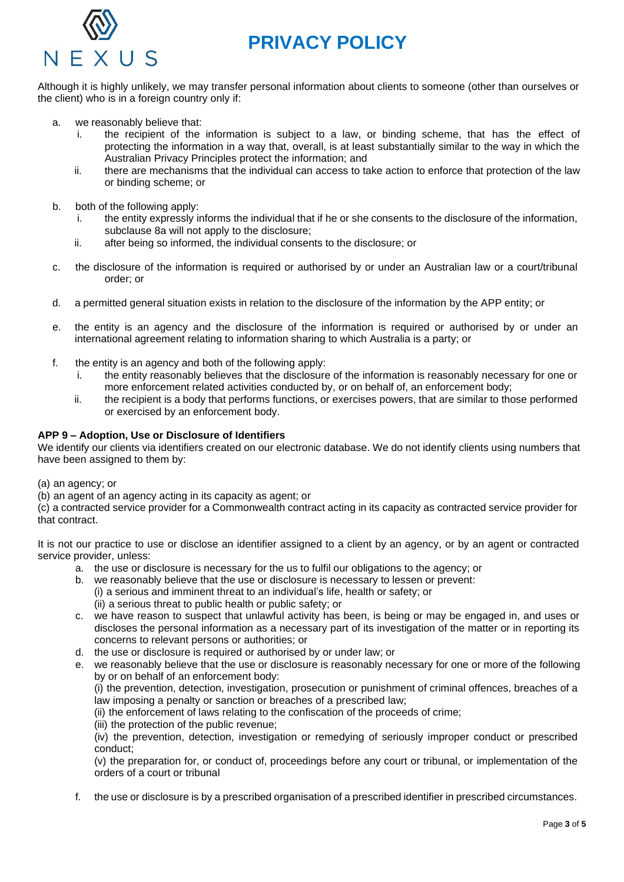

# **PRIVACY POLICY**

Although it is highly unlikely, we may transfer personal information about clients to someone (other than ourselves or the client) who is in a foreign country only if:

- a. we reasonably believe that:
	- i. the recipient of the information is subject to a law, or binding scheme, that has the effect of protecting the information in a way that, overall, is at least substantially similar to the way in which the Australian Privacy Principles protect the information; and
	- ii. there are mechanisms that the individual can access to take action to enforce that protection of the law or binding scheme; or
- b. both of the following apply:
	- i. the entity expressly informs the individual that if he or she consents to the disclosure of the information, subclause 8a will not apply to the disclosure;
	- ii. after being so informed, the individual consents to the disclosure; or
- c. the disclosure of the information is required or authorised by or under an Australian law or a court/tribunal order; or
- d. a permitted general situation exists in relation to the disclosure of the information by the APP entity; or
- e. the entity is an agency and the disclosure of the information is required or authorised by or under an international agreement relating to information sharing to which Australia is a party; or
- f. the entity is an agency and both of the following apply:
	- i. the entity reasonably believes that the disclosure of the information is reasonably necessary for one or more enforcement related activities conducted by, or on behalf of, an enforcement body;
	- ii. the recipient is a body that performs functions, or exercises powers, that are similar to those performed or exercised by an enforcement body.

### **APP 9 – Adoption, Use or Disclosure of Identifiers**

We identify our clients via identifiers created on our electronic database. We do not identify clients using numbers that have been assigned to them by:

(a) an agency; or

(b) an agent of an agency acting in its capacity as agent; or

(c) a contracted service provider for a Commonwealth contract acting in its capacity as contracted service provider for that contract.

It is not our practice to use or disclose an identifier assigned to a client by an agency, or by an agent or contracted service provider, unless:

- a. the use or disclosure is necessary for the us to fulfil our obligations to the agency; or
- b. we reasonably believe that the use or disclosure is necessary to lessen or prevent: (i) a serious and imminent threat to an individual's life, health or safety; or (ii) a serious threat to public health or public safety; or
- c. we have reason to suspect that unlawful activity has been, is being or may be engaged in, and uses or discloses the personal information as a necessary part of its investigation of the matter or in reporting its concerns to relevant persons or authorities; or
- d. the use or disclosure is required or authorised by or under law; or
- e. we reasonably believe that the use or disclosure is reasonably necessary for one or more of the following by or on behalf of an enforcement body:

(i) the prevention, detection, investigation, prosecution or punishment of criminal offences, breaches of a law imposing a penalty or sanction or breaches of a prescribed law;

(ii) the enforcement of laws relating to the confiscation of the proceeds of crime;

(iii) the protection of the public revenue;

(iv) the prevention, detection, investigation or remedying of seriously improper conduct or prescribed conduct;

(v) the preparation for, or conduct of, proceedings before any court or tribunal, or implementation of the orders of a court or tribunal

f. the use or disclosure is by a prescribed organisation of a prescribed identifier in prescribed circumstances.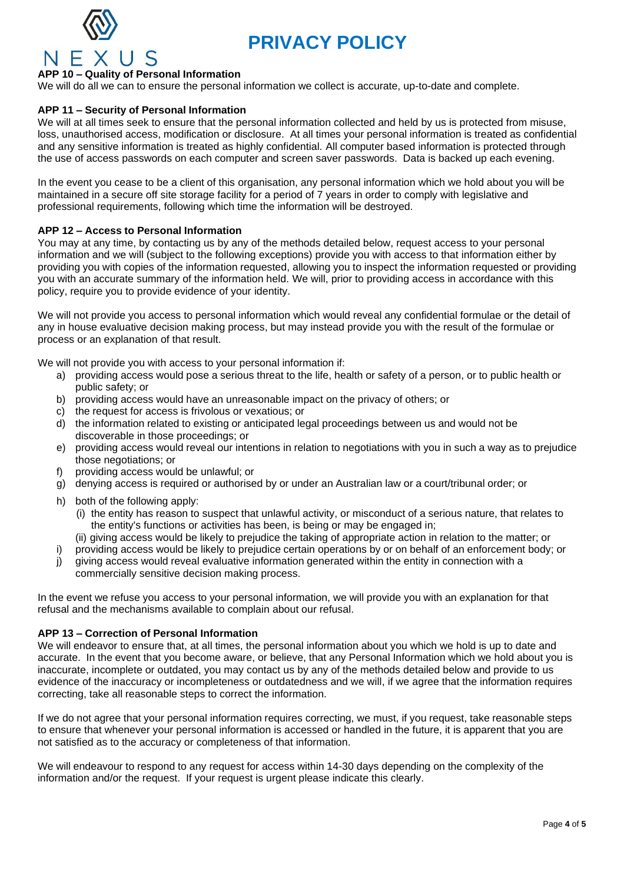



# **APP 10 – Quality of Personal Information**

We will do all we can to ensure the personal information we collect is accurate, up-to-date and complete.

# **APP 11 – Security of Personal Information**

We will at all times seek to ensure that the personal information collected and held by us is protected from misuse, loss, unauthorised access, modification or disclosure. At all times your personal information is treated as confidential and any sensitive information is treated as highly confidential. All computer based information is protected through the use of access passwords on each computer and screen saver passwords. Data is backed up each evening.

In the event you cease to be a client of this organisation, any personal information which we hold about you will be maintained in a secure off site storage facility for a period of 7 years in order to comply with legislative and professional requirements, following which time the information will be destroyed.

### **APP 12 – Access to Personal Information**

You may at any time, by contacting us by any of the methods detailed below, request access to your personal information and we will (subject to the following exceptions) provide you with access to that information either by providing you with copies of the information requested, allowing you to inspect the information requested or providing you with an accurate summary of the information held. We will, prior to providing access in accordance with this policy, require you to provide evidence of your identity.

We will not provide you access to personal information which would reveal any confidential formulae or the detail of any in house evaluative decision making process, but may instead provide you with the result of the formulae or process or an explanation of that result.

We will not provide you with access to your personal information if:

- a) providing access would pose a serious threat to the life, health or safety of a person, or to public health or public safety; or
- b) providing access would have an unreasonable impact on the privacy of others; or
- c) the request for access is frivolous or vexatious; or
- d) the information related to existing or anticipated legal proceedings between us and would not be discoverable in those proceedings; or
- e) providing access would reveal our intentions in relation to negotiations with you in such a way as to prejudice those negotiations; or
- f) providing access would be unlawful; or
- g) denying access is required or authorised by or under an Australian law or a court/tribunal order; or
- h) both of the following apply:
	- (i) the entity has reason to suspect that unlawful activity, or misconduct of a serious nature, that relates to the entity's functions or activities has been, is being or may be engaged in;
	- (ii) giving access would be likely to prejudice the taking of appropriate action in relation to the matter; or
- i) providing access would be likely to prejudice certain operations by or on behalf of an enforcement body; or
- j) giving access would reveal evaluative information generated within the entity in connection with a commercially sensitive decision making process.

In the event we refuse you access to your personal information, we will provide you with an explanation for that refusal and the mechanisms available to complain about our refusal.

### **APP 13 – Correction of Personal Information**

We will endeavor to ensure that, at all times, the personal information about you which we hold is up to date and accurate. In the event that you become aware, or believe, that any Personal Information which we hold about you is inaccurate, incomplete or outdated, you may contact us by any of the methods detailed below and provide to us evidence of the inaccuracy or incompleteness or outdatedness and we will, if we agree that the information requires correcting, take all reasonable steps to correct the information.

If we do not agree that your personal information requires correcting, we must, if you request, take reasonable steps to ensure that whenever your personal information is accessed or handled in the future, it is apparent that you are not satisfied as to the accuracy or completeness of that information.

We will endeavour to respond to any request for access within 14-30 days depending on the complexity of the information and/or the request. If your request is urgent please indicate this clearly.